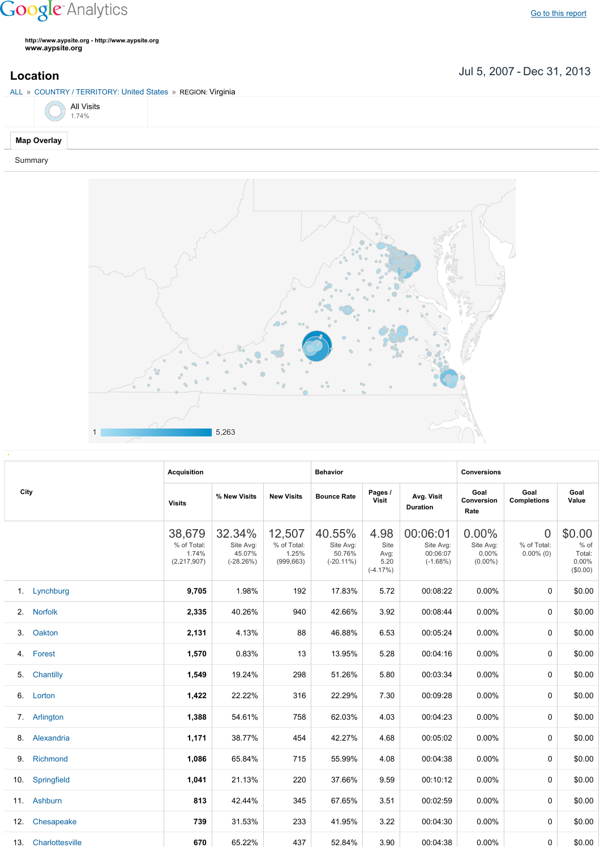## **Google** Analytics

Go to this [report](https://www.google.com/analytics/web/?utm_source=pdfReportLink#report/visitors-geo/a2184169w3912412p4016214/%3F_u.date00%3D20070705%26_u.date01%3D20131231%26geo-table.plotKeys%3D%5B%5D%26geo-table.rowStart%3D0%26geo-table.rowCount%3D1000%26_r.drilldown%3Danalytics.country%3AUS%2Canalytics.region%3A21178/)

**http://www.aypsite.org http://www.aypsite.org www.aypsite.org**

Jul 5, 2007 Dec 31, 2013 **Location**

|                       | ALL » COUNTRY / TERRITORY: United States » REGION: Virginia |  |  |  |  |  |  |  |  |  |  |
|-----------------------|-------------------------------------------------------------|--|--|--|--|--|--|--|--|--|--|
| $\bigodot$ All Visits |                                                             |  |  |  |  |  |  |  |  |  |  |
| <b>Map Overlay</b>    |                                                             |  |  |  |  |  |  |  |  |  |  |
| Summary               |                                                             |  |  |  |  |  |  |  |  |  |  |



|      |                     | <b>Acquisition</b>                                                                                                                                                                                                                                                                                                                                                                                                                                                                                                                                                                                                                                                                                                                                                                                                                                                                                                                                                                                                                                                                                                                     |                    |               | <b>Behavior</b> |      |          | <b>Conversions</b> |                                               |                                                 |  |
|------|---------------------|----------------------------------------------------------------------------------------------------------------------------------------------------------------------------------------------------------------------------------------------------------------------------------------------------------------------------------------------------------------------------------------------------------------------------------------------------------------------------------------------------------------------------------------------------------------------------------------------------------------------------------------------------------------------------------------------------------------------------------------------------------------------------------------------------------------------------------------------------------------------------------------------------------------------------------------------------------------------------------------------------------------------------------------------------------------------------------------------------------------------------------------|--------------------|---------------|-----------------|------|----------|--------------------|-----------------------------------------------|-------------------------------------------------|--|
| City |                     | Pages /<br>Goal<br>Goal<br>Avg. Visit<br>% New Visits<br><b>New Visits</b><br><b>Bounce Rate</b><br>Visit<br>Conversion<br><b>Visits</b><br><b>Duration</b><br>Rate<br>38,679<br>12,507<br>40.55%<br>00:06:01<br>$0.00\%$<br>32.34%<br>4.98<br>% of Total:<br>% of Total:<br>Site Avg:<br>Site Avg:<br>Site Avg:<br>Site<br>Site Avg:<br>45.07%<br>1.74%<br>1.25%<br>50.76%<br>00:06:07<br>$0.00\%$<br>Avg:<br>$(-28.26%)$<br>(999, 663)<br>(2,217,907)<br>$(-20.11\%)$<br>5.20<br>$(-1.68%)$<br>$(0.00\%)$<br>$(-4.17%)$<br>9,705<br>1.98%<br>00:08:22<br>$0.00\%$<br>192<br>17.83%<br>5.72<br>2,335<br>40.26%<br>940<br>42.66%<br>3.92<br>00:08:44<br>0.00%<br>4.13%<br>00:05:24<br>2,131<br>88<br>46.88%<br>6.53<br>0.00%<br>00:04:16<br>1,570<br>0.83%<br>13<br>13.95%<br>5.28<br>$0.00\%$<br>1,549<br>00:03:34<br>19.24%<br>298<br>51.26%<br>5.80<br>$0.00\%$<br>1,422<br>22.22%<br>316<br>22.29%<br>7.30<br>00:09:28<br>0.00%<br>1,388<br>54.61%<br>758<br>62.03%<br>4.03<br>00:04:23<br>0.00%<br>1,171<br>38.77%<br>454<br>42.27%<br>4.68<br>00:05:02<br>0.00%<br>1,086<br>65.84%<br>00:04:38<br>715<br>55.99%<br>4.08<br>0.00% | <b>Completions</b> | Goal<br>Value |                 |      |          |                    |                                               |                                                 |  |
|      |                     |                                                                                                                                                                                                                                                                                                                                                                                                                                                                                                                                                                                                                                                                                                                                                                                                                                                                                                                                                                                                                                                                                                                                        |                    |               |                 |      |          |                    | $\overline{0}$<br>% of Total:<br>$0.00\%$ (0) | \$0.00<br>$%$ of<br>Total:<br>0.00%<br>(\$0.00) |  |
|      | 1. Lynchburg        |                                                                                                                                                                                                                                                                                                                                                                                                                                                                                                                                                                                                                                                                                                                                                                                                                                                                                                                                                                                                                                                                                                                                        |                    |               |                 |      |          |                    | 0                                             | \$0.00                                          |  |
| 2.   | <b>Norfolk</b>      |                                                                                                                                                                                                                                                                                                                                                                                                                                                                                                                                                                                                                                                                                                                                                                                                                                                                                                                                                                                                                                                                                                                                        |                    |               |                 |      |          |                    | 0                                             | \$0.00                                          |  |
| 3.   | Oakton              |                                                                                                                                                                                                                                                                                                                                                                                                                                                                                                                                                                                                                                                                                                                                                                                                                                                                                                                                                                                                                                                                                                                                        |                    |               |                 |      |          |                    | 0                                             | \$0.00                                          |  |
|      | 4. Forest           |                                                                                                                                                                                                                                                                                                                                                                                                                                                                                                                                                                                                                                                                                                                                                                                                                                                                                                                                                                                                                                                                                                                                        |                    |               |                 |      |          |                    | 0                                             | \$0.00                                          |  |
| 5.   | Chantilly           |                                                                                                                                                                                                                                                                                                                                                                                                                                                                                                                                                                                                                                                                                                                                                                                                                                                                                                                                                                                                                                                                                                                                        |                    |               |                 |      |          |                    | 0                                             | \$0.00                                          |  |
| 6.   | Lorton              |                                                                                                                                                                                                                                                                                                                                                                                                                                                                                                                                                                                                                                                                                                                                                                                                                                                                                                                                                                                                                                                                                                                                        |                    |               |                 |      |          |                    | 0                                             | \$0.00                                          |  |
|      | 7. Arlington        |                                                                                                                                                                                                                                                                                                                                                                                                                                                                                                                                                                                                                                                                                                                                                                                                                                                                                                                                                                                                                                                                                                                                        |                    |               |                 |      |          |                    | 0                                             | \$0.00                                          |  |
|      | 8. Alexandria       |                                                                                                                                                                                                                                                                                                                                                                                                                                                                                                                                                                                                                                                                                                                                                                                                                                                                                                                                                                                                                                                                                                                                        |                    |               |                 |      |          |                    | 0                                             | \$0.00                                          |  |
| 9.   | Richmond            |                                                                                                                                                                                                                                                                                                                                                                                                                                                                                                                                                                                                                                                                                                                                                                                                                                                                                                                                                                                                                                                                                                                                        |                    |               |                 |      |          |                    | 0                                             | \$0.00                                          |  |
|      | 10. Springfield     | 1,041                                                                                                                                                                                                                                                                                                                                                                                                                                                                                                                                                                                                                                                                                                                                                                                                                                                                                                                                                                                                                                                                                                                                  | 21.13%             | 220           | 37.66%          | 9.59 | 00:10:12 | 0.00%              | 0                                             | \$0.00                                          |  |
|      | 11. Ashburn         | 813                                                                                                                                                                                                                                                                                                                                                                                                                                                                                                                                                                                                                                                                                                                                                                                                                                                                                                                                                                                                                                                                                                                                    | 42.44%             | 345           | 67.65%          | 3.51 | 00:02:59 | $0.00\%$           | 0                                             | \$0.00                                          |  |
|      | 12. Chesapeake      | 739                                                                                                                                                                                                                                                                                                                                                                                                                                                                                                                                                                                                                                                                                                                                                                                                                                                                                                                                                                                                                                                                                                                                    | 31.53%             | 233           | 41.95%          | 3.22 | 00:04:30 | $0.00\%$           | 0                                             | \$0.00                                          |  |
|      | 13. Charlottesville | 670                                                                                                                                                                                                                                                                                                                                                                                                                                                                                                                                                                                                                                                                                                                                                                                                                                                                                                                                                                                                                                                                                                                                    | 65.22%             | 437           | 52.84%          | 3.90 | 00:04:38 | 0.00%              | 0                                             | \$0.00                                          |  |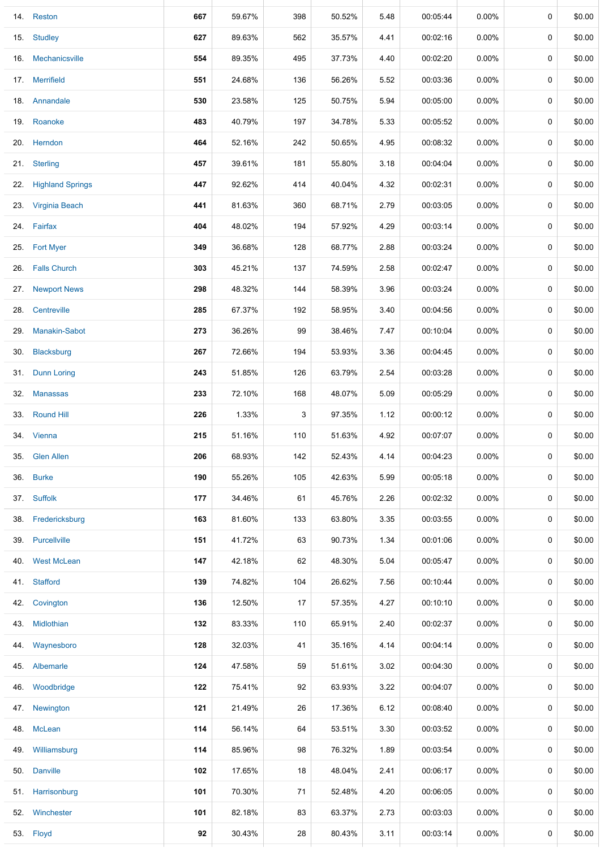|     | 14. Reston            | 667 | 59.67% | 398 | 50.52% | 5.48 | 00:05:44 | 0.00%    | 0           | \$0.00 |
|-----|-----------------------|-----|--------|-----|--------|------|----------|----------|-------------|--------|
|     | 15. Studley           | 627 | 89.63% | 562 | 35.57% | 4.41 | 00:02:16 | $0.00\%$ | 0           | \$0.00 |
| 16. | Mechanicsville        | 554 | 89.35% | 495 | 37.73% | 4.40 | 00:02:20 | $0.00\%$ | 0           | \$0.00 |
|     | 17. Merrifield        | 551 | 24.68% | 136 | 56.26% | 5.52 | 00:03:36 | $0.00\%$ | 0           | \$0.00 |
|     | 18. Annandale         | 530 | 23.58% | 125 | 50.75% | 5.94 | 00:05:00 | $0.00\%$ | 0           | \$0.00 |
|     | 19. Roanoke           | 483 | 40.79% | 197 | 34.78% | 5.33 | 00:05:52 | $0.00\%$ | 0           | \$0.00 |
|     | 20. Herndon           | 464 | 52.16% | 242 | 50.65% | 4.95 | 00:08:32 | $0.00\%$ | 0           | \$0.00 |
|     | 21. Sterling          | 457 | 39.61% | 181 | 55.80% | 3.18 | 00:04:04 | $0.00\%$ | 0           | \$0.00 |
|     | 22. Highland Springs  | 447 | 92.62% | 414 | 40.04% | 4.32 | 00:02:31 | $0.00\%$ | 0           | \$0.00 |
| 23. | <b>Virginia Beach</b> | 441 | 81.63% | 360 | 68.71% | 2.79 | 00:03:05 | $0.00\%$ | 0           | \$0.00 |
|     | 24. Fairfax           | 404 | 48.02% | 194 | 57.92% | 4.29 | 00:03:14 | $0.00\%$ | 0           | \$0.00 |
|     | 25. Fort Myer         | 349 | 36.68% | 128 | 68.77% | 2.88 | 00:03:24 | 0.00%    | 0           | \$0.00 |
| 26. | <b>Falls Church</b>   | 303 | 45.21% | 137 | 74.59% | 2.58 | 00:02:47 | $0.00\%$ | 0           | \$0.00 |
| 27. | <b>Newport News</b>   | 298 | 48.32% | 144 | 58.39% | 3.96 | 00:03:24 | $0.00\%$ | 0           | \$0.00 |
| 28. | Centreville           | 285 | 67.37% | 192 | 58.95% | 3.40 | 00:04:56 | $0.00\%$ | 0           | \$0.00 |
| 29. | <b>Manakin-Sabot</b>  | 273 | 36.26% | 99  | 38.46% | 7.47 | 00:10:04 | $0.00\%$ | 0           | \$0.00 |
| 30. | Blacksburg            | 267 | 72.66% | 194 | 53.93% | 3.36 | 00:04:45 | $0.00\%$ | 0           | \$0.00 |
|     | 31. Dunn Loring       | 243 | 51.85% | 126 | 63.79% | 2.54 | 00:03:28 | $0.00\%$ | 0           | \$0.00 |
| 32. | <b>Manassas</b>       | 233 | 72.10% | 168 | 48.07% | 5.09 | 00:05:29 | $0.00\%$ | 0           | \$0.00 |
|     | 33. Round Hill        | 226 | 1.33%  | 3   | 97.35% | 1.12 | 00:00:12 | $0.00\%$ | 0           | \$0.00 |
|     | 34. Vienna            | 215 | 51.16% | 110 | 51.63% | 4.92 | 00:07:07 | $0.00\%$ | 0           | \$0.00 |
| 35. | <b>Glen Allen</b>     | 206 | 68.93% | 142 | 52.43% | 4.14 | 00:04:23 | $0.00\%$ | 0           | \$0.00 |
| 36. | <b>Burke</b>          | 190 | 55.26% | 105 | 42.63% | 5.99 | 00:05:18 | $0.00\%$ | $\mathbf 0$ | \$0.00 |
|     | 37. Suffolk           | 177 | 34.46% | 61  | 45.76% | 2.26 | 00:02:32 | $0.00\%$ | 0           | \$0.00 |
|     | 38. Fredericksburg    | 163 | 81.60% | 133 | 63.80% | 3.35 | 00:03:55 | 0.00%    | 0           | \$0.00 |
|     | 39. Purcellville      | 151 | 41.72% | 63  | 90.73% | 1.34 | 00:01:06 | $0.00\%$ | 0           | \$0.00 |
| 40. | <b>West McLean</b>    | 147 | 42.18% | 62  | 48.30% | 5.04 | 00:05:47 | $0.00\%$ | 0           | \$0.00 |
|     | 41. Stafford          | 139 | 74.82% | 104 | 26.62% | 7.56 | 00:10:44 | $0.00\%$ | 0           | \$0.00 |
| 42. | Covington             | 136 | 12.50% | 17  | 57.35% | 4.27 | 00:10:10 | $0.00\%$ | 0           | \$0.00 |
|     | 43. Midlothian        | 132 | 83.33% | 110 | 65.91% | 2.40 | 00:02:37 | $0.00\%$ | 0           | \$0.00 |
| 44. | Waynesboro            | 128 | 32.03% | 41  | 35.16% | 4.14 | 00:04:14 | $0.00\%$ | 0           | \$0.00 |
|     | 45. Albemarle         | 124 | 47.58% | 59  | 51.61% | 3.02 | 00:04:30 | $0.00\%$ | 0           | \$0.00 |
|     | 46. Woodbridge        | 122 | 75.41% | 92  | 63.93% | 3.22 | 00:04:07 | $0.00\%$ | 0           | \$0.00 |
|     | 47. Newington         | 121 | 21.49% | 26  | 17.36% | 6.12 | 00:08:40 | $0.00\%$ | 0           | \$0.00 |
|     | 48. McLean            | 114 | 56.14% | 64  | 53.51% | 3.30 | 00:03:52 | $0.00\%$ | 0           | \$0.00 |
| 49. | Williamsburg          | 114 | 85.96% | 98  | 76.32% | 1.89 | 00:03:54 | $0.00\%$ | 0           | \$0.00 |
|     | 50. Danville          | 102 | 17.65% | 18  | 48.04% | 2.41 | 00:06:17 | $0.00\%$ | 0           | \$0.00 |
|     | 51. Harrisonburg      | 101 | 70.30% | 71  | 52.48% | 4.20 | 00:06:05 | $0.00\%$ | 0           | \$0.00 |
|     | 52. Winchester        | 101 | 82.18% | 83  | 63.37% | 2.73 | 00:03:03 | $0.00\%$ | 0           | \$0.00 |
|     | 53. Floyd             | 92  | 30.43% | 28  | 80.43% | 3.11 | 00:03:14 | $0.00\%$ | 0           | \$0.00 |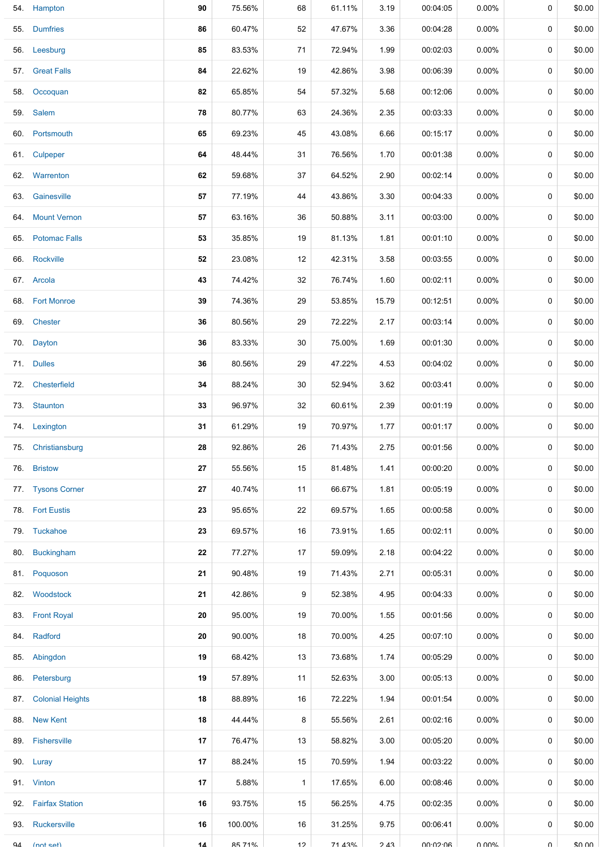|     | 54. Hampton          | 90 | 75.56%  | 68           | 61.11% | 3.19  | 00:04:05        | 0.00%    | 0      | \$0.00 |
|-----|----------------------|----|---------|--------------|--------|-------|-----------------|----------|--------|--------|
|     | 55. Dumfries         | 86 | 60.47%  | 52           | 47.67% | 3.36  | 00:04:28        | $0.00\%$ | 0      | \$0.00 |
|     | 56. Leesburg         | 85 | 83.53%  | 71           | 72.94% | 1.99  | 00:02:03        | $0.00\%$ | 0      | \$0.00 |
|     | 57. Great Falls      | 84 | 22.62%  | 19           | 42.86% | 3.98  | 00:06:39        | $0.00\%$ | 0      | \$0.00 |
|     | 58. Occoquan         | 82 | 65.85%  | 54           | 57.32% | 5.68  | 00:12:06        | $0.00\%$ | 0      | \$0.00 |
|     | 59. Salem            | 78 | 80.77%  | 63           | 24.36% | 2.35  | 00:03:33        | $0.00\%$ | 0      | \$0.00 |
|     | 60. Portsmouth       | 65 | 69.23%  | 45           | 43.08% | 6.66  | 00:15:17        | $0.00\%$ | 0      | \$0.00 |
|     | 61. Culpeper         | 64 | 48.44%  | 31           | 76.56% | 1.70  | 00:01:38        | $0.00\%$ | 0      | \$0.00 |
|     | 62. Warrenton        | 62 | 59.68%  | 37           | 64.52% | 2.90  | 00:02:14        | $0.00\%$ | 0      | \$0.00 |
| 63. | Gainesville          | 57 | 77.19%  | 44           | 43.86% | 3.30  | 00:04:33        | 0.00%    | 0      | \$0.00 |
|     | 64. Mount Vernon     | 57 | 63.16%  | 36           | 50.88% | 3.11  | 00:03:00        | $0.00\%$ | 0      | \$0.00 |
| 65. | <b>Potomac Falls</b> | 53 | 35.85%  | 19           | 81.13% | 1.81  | 00:01:10        | $0.00\%$ | 0      | \$0.00 |
|     | 66. Rockville        | 52 | 23.08%  | 12           | 42.31% | 3.58  | 00:03:55        | $0.00\%$ | 0      | \$0.00 |
|     | 67. Arcola           | 43 | 74.42%  | 32           | 76.74% | 1.60  | 00:02:11        | $0.00\%$ | 0      | \$0.00 |
|     | 68. Fort Monroe      | 39 | 74.36%  | 29           | 53.85% | 15.79 | 00:12:51        | $0.00\%$ | 0      | \$0.00 |
|     | 69. Chester          | 36 | 80.56%  | 29           | 72.22% | 2.17  | 00:03:14        | $0.00\%$ | 0      | \$0.00 |
|     | 70. Dayton           | 36 | 83.33%  | 30           | 75.00% | 1.69  | 00:01:30        | $0.00\%$ | 0      | \$0.00 |
|     | 71. Dulles           | 36 | 80.56%  | 29           | 47.22% | 4.53  | 00:04:02        | $0.00\%$ | 0      | \$0.00 |
|     | 72. Chesterfield     | 34 | 88.24%  | 30           | 52.94% | 3.62  | 00:03:41        | $0.00\%$ | 0      | \$0.00 |
|     | 73. Staunton         | 33 | 96.97%  | 32           | 60.61% | 2.39  | 00:01:19        | $0.00\%$ | 0      | \$0.00 |
|     | 74. Lexington        | 31 | 61.29%  | 19           | 70.97% | 1.77  | 00:01:17        | $0.00\%$ | 0      | \$0.00 |
|     | 75. Christiansburg   | 28 | 92.86%  | 26           | 71.43% | 2.75  | 00:01:56        | $0.00\%$ | 0      | \$0.00 |
|     | 76. Bristow          | 27 | 55.56%  | 15           | 81.48% | 1.41  | 00:00:20        | $0.00\%$ | 0      | \$0.00 |
|     | 77. Tysons Corner    | 27 | 40.74%  | 11           | 66.67% | 1.81  | 00:05:19        | $0.00\%$ | 0      | \$0.00 |
|     | 78. Fort Eustis      | 23 | 95.65%  | 22           | 69.57% | 1.65  | 00:00:58        | $0.00\%$ | 0      | \$0.00 |
|     | 79. Tuckahoe         | 23 | 69.57%  | 16           | 73.91% | 1.65  | 00:02:11        | $0.00\%$ | 0      | \$0.00 |
|     | 80. Buckingham       | 22 | 77.27%  | 17           | 59.09% | 2.18  | 00:04:22        | $0.00\%$ | 0      | \$0.00 |
|     | 81. Poquoson         | 21 | 90.48%  | 19           | 71.43% | 2.71  | 00:05:31        | $0.00\%$ | 0      | \$0.00 |
|     | 82. Woodstock        | 21 | 42.86%  | 9            | 52.38% | 4.95  | 00:04:33        | $0.00\%$ | 0      | \$0.00 |
|     | 83. Front Royal      | 20 | 95.00%  | 19           | 70.00% | 1.55  | 00:01:56        | $0.00\%$ | 0      | \$0.00 |
|     | 84. Radford          | 20 | 90.00%  | 18           | 70.00% | 4.25  | 00:07:10        | $0.00\%$ | 0      | \$0.00 |
|     | 85. Abingdon         | 19 | 68.42%  | 13           | 73.68% | 1.74  | 00:05:29        | $0.00\%$ | 0      | \$0.00 |
|     | 86. Petersburg       | 19 | 57.89%  | 11           | 52.63% | 3.00  | 00:05:13        | $0.00\%$ | 0      | \$0.00 |
|     | 87. Colonial Heights | 18 | 88.89%  | 16           | 72.22% | 1.94  | 00:01:54        | $0.00\%$ | 0      | \$0.00 |
|     | 88. New Kent         | 18 | 44.44%  | 8            | 55.56% | 2.61  | 00:02:16        | $0.00\%$ | 0      | \$0.00 |
|     | 89. Fishersville     | 17 | 76.47%  | 13           | 58.82% | 3.00  | 00:05:20        | $0.00\%$ | 0      | \$0.00 |
|     | 90. Luray            | 17 | 88.24%  | 15           | 70.59% | 1.94  | 00:03:22        | $0.00\%$ | 0      | \$0.00 |
|     | 91. Vinton           | 17 | 5.88%   | $\mathbf{1}$ | 17.65% | 6.00  | 00:08:46        | $0.00\%$ | 0      | \$0.00 |
|     | 92. Fairfax Station  | 16 | 93.75%  | 15           | 56.25% | 4.75  | 00:02:35        | $0.00\%$ | 0      | \$0.00 |
|     | 93. Ruckersville     | 16 | 100.00% | 16           | 31.25% | 9.75  | 00:06:41        | $0.00\%$ | 0      | \$0.00 |
| QΔ  | $[nnt$ cat)          | 14 | 85 71%  | 12           | 71 43% | 243   | <b>AN.CN.NU</b> | በ በበ%    | $\cap$ | \$0.00 |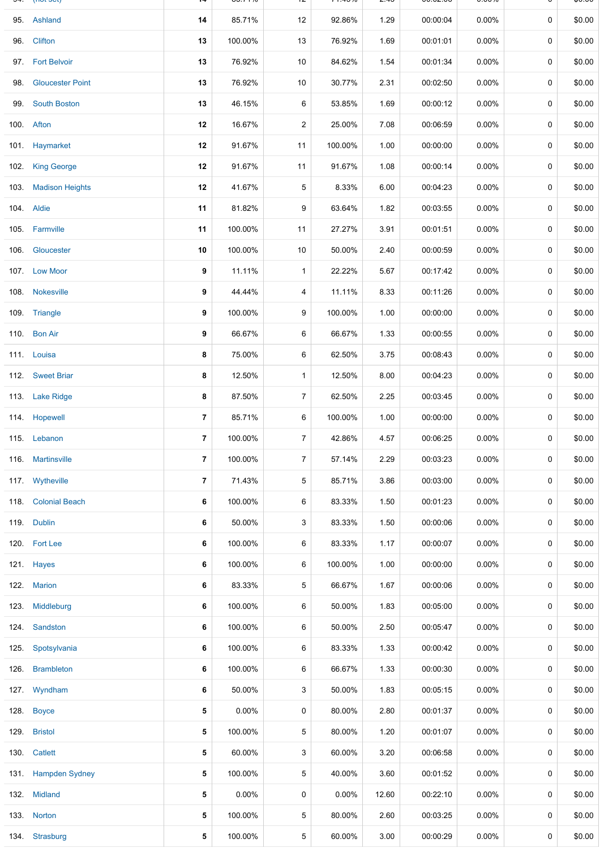|     | <b>THE SCI</b>          |                | <b>00. I</b> 170 |                | 1.7070  | 2.70  | 00.02.00 | <b>0.0070</b> |             | ψυ.υυ  |
|-----|-------------------------|----------------|------------------|----------------|---------|-------|----------|---------------|-------------|--------|
|     | 95. Ashland             | 14             | 85.71%           | 12             | 92.86%  | 1.29  | 00:00:04 | $0.00\%$      | 0           | \$0.00 |
| 96. | Clifton                 | 13             | 100.00%          | 13             | 76.92%  | 1.69  | 00:01:01 | $0.00\%$      | 0           | \$0.00 |
|     | 97. Fort Belvoir        | 13             | 76.92%           | 10             | 84.62%  | 1.54  | 00:01:34 | $0.00\%$      | 0           | \$0.00 |
| 98. | <b>Gloucester Point</b> | 13             | 76.92%           | 10             | 30.77%  | 2.31  | 00:02:50 | $0.00\%$      | 0           | \$0.00 |
|     | 99. South Boston        | 13             | 46.15%           | 6              | 53.85%  | 1.69  | 00:00:12 | $0.00\%$      | 0           | \$0.00 |
|     | 100. Afton              | 12             | 16.67%           | $\overline{c}$ | 25.00%  | 7.08  | 00:06:59 | $0.00\%$      | 0           | \$0.00 |
|     | 101. Haymarket          | 12             | 91.67%           | 11             | 100.00% | 1.00  | 00:00:00 | 0.00%         | 0           | \$0.00 |
|     | 102. King George        | 12             | 91.67%           | 11             | 91.67%  | 1.08  | 00:00:14 | $0.00\%$      | $\mathbf 0$ | \$0.00 |
|     | 103. Madison Heights    | 12             | 41.67%           | 5              | 8.33%   | 6.00  | 00:04:23 | $0.00\%$      | 0           | \$0.00 |
|     | 104. Aldie              | 11             | 81.82%           | 9              | 63.64%  | 1.82  | 00:03:55 | $0.00\%$      | 0           | \$0.00 |
|     | 105. Farmville          | 11             | 100.00%          | 11             | 27.27%  | 3.91  | 00:01:51 | $0.00\%$      | 0           | \$0.00 |
|     | 106. Gloucester         | 10             | 100.00%          | 10             | 50.00%  | 2.40  | 00:00:59 | $0.00\%$      | 0           | \$0.00 |
|     | 107. Low Moor           | 9              | 11.11%           | $\mathbf{1}$   | 22.22%  | 5.67  | 00:17:42 | $0.00\%$      | 0           | \$0.00 |
|     | 108. Nokesville         | 9              | 44.44%           | 4              | 11.11%  | 8.33  | 00:11:26 | $0.00\%$      | 0           | \$0.00 |
|     | 109. Triangle           | 9              | 100.00%          | 9              | 100.00% | 1.00  | 00:00:00 | $0.00\%$      | 0           | \$0.00 |
|     | 110. Bon Air            | 9              | 66.67%           | 6              | 66.67%  | 1.33  | 00:00:55 | $0.00\%$      | 0           | \$0.00 |
|     | 111. Louisa             | 8              | 75.00%           | 6              | 62.50%  | 3.75  | 00:08:43 | $0.00\%$      | 0           | \$0.00 |
|     | 112. Sweet Briar        | 8              | 12.50%           | $\mathbf{1}$   | 12.50%  | 8.00  | 00:04:23 | $0.00\%$      | 0           | \$0.00 |
|     | 113. Lake Ridge         | 8              | 87.50%           | $\overline{7}$ | 62.50%  | 2.25  | 00:03:45 | $0.00\%$      | 0           | \$0.00 |
|     | 114. Hopewell           | 7              | 85.71%           | 6              | 100.00% | 1.00  | 00:00:00 | $0.00\%$      | 0           | \$0.00 |
|     | 115. Lebanon            | $\overline{7}$ | 100.00%          | $\overline{7}$ | 42.86%  | 4.57  | 00:06:25 | $0.00\%$      | 0           | \$0.00 |
|     | 116. Martinsville       | $\overline{7}$ | 100.00%          | $\overline{7}$ | 57.14%  | 2.29  | 00:03:23 | $0.00\%$      | 0           | \$0.00 |
|     | 117. Wytheville         | $\overline{7}$ | 71.43%           | 5              | 85.71%  | 3.86  | 00:03:00 | $0.00\%$      | 0           | \$0.00 |
|     | 118. Colonial Beach     | 6              | 100.00%          | 6              | 83.33%  | 1.50  | 00:01:23 | $0.00\%$      | 0           | \$0.00 |
|     | 119. Dublin             | 6              | 50.00%           | 3              | 83.33%  | 1.50  | 00:00:06 | $0.00\%$      | 0           | \$0.00 |
|     | 120. Fort Lee           | 6              | 100.00%          | 6              | 83.33%  | 1.17  | 00:00:07 | $0.00\%$      | 0           | \$0.00 |
|     | 121. Hayes              | 6              | 100.00%          | 6              | 100.00% | 1.00  | 00:00:00 | $0.00\%$      | 0           | \$0.00 |
|     | 122. Marion             | 6              | 83.33%           | 5              | 66.67%  | 1.67  | 00:00:06 | $0.00\%$      | 0           | \$0.00 |
|     | 123. Middleburg         | 6              | 100.00%          | 6              | 50.00%  | 1.83  | 00:05:00 | $0.00\%$      | 0           | \$0.00 |
|     | 124. Sandston           | 6              | 100.00%          | 6              | 50.00%  | 2.50  | 00:05:47 | $0.00\%$      | 0           | \$0.00 |
|     | 125. Spotsylvania       | 6              | 100.00%          | 6              | 83.33%  | 1.33  | 00:00:42 | $0.00\%$      | 0           | \$0.00 |
|     | 126. Brambleton         | 6              | 100.00%          | 6              | 66.67%  | 1.33  | 00:00:30 | $0.00\%$      | 0           | \$0.00 |
|     | 127. Wyndham            | 6              | 50.00%           | 3              | 50.00%  | 1.83  | 00:05:15 | $0.00\%$      | 0           | \$0.00 |
|     | 128. Boyce              | 5              | $0.00\%$         | 0              | 80.00%  | 2.80  | 00:01:37 | $0.00\%$      | 0           | \$0.00 |
|     | 129. Bristol            | 5              | 100.00%          | 5              | 80.00%  | 1.20  | 00:01:07 | $0.00\%$      | 0           | \$0.00 |
|     | 130. Catlett            | 5              | 60.00%           | 3              | 60.00%  | 3.20  | 00:06:58 | $0.00\%$      | 0           | \$0.00 |
|     | 131. Hampden Sydney     | 5              | 100.00%          | 5              | 40.00%  | 3.60  | 00:01:52 | $0.00\%$      | 0           | \$0.00 |
|     | 132. Midland            | 5              | $0.00\%$         | 0              | 0.00%   | 12.60 | 00:22:10 | $0.00\%$      | 0           | \$0.00 |
|     | 133. Norton             | 5              | 100.00%          | 5              | 80.00%  | 2.60  | 00:03:25 | $0.00\%$      | 0           | \$0.00 |
|     | 134. Strasburg          | 5              | 100.00%          | 5              | 60.00%  | 3.00  | 00:00:29 | $0.00\%$      | 0           | \$0.00 |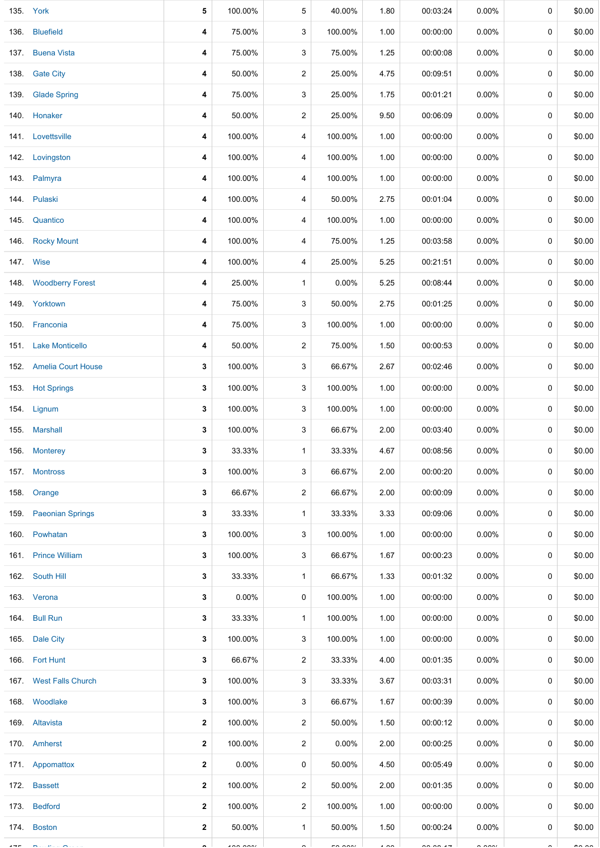|         | 135. York               | 5            | 100.00%  | 5              | 40.00%               | 1.80           | 00:03:24   | 0.00%    | 0           | \$0.00        |
|---------|-------------------------|--------------|----------|----------------|----------------------|----------------|------------|----------|-------------|---------------|
| 136.    | <b>Bluefield</b>        | 4            | 75.00%   | 3              | 100.00%              | 1.00           | 00:00:00   | $0.00\%$ | 0           | \$0.00        |
| 137.    | <b>Buena Vista</b>      | 4            | 75.00%   | 3              | 75.00%               | 1.25           | 00:00:08   | 0.00%    | 0           | \$0.00        |
| 138.    | <b>Gate City</b>        | 4            | 50.00%   | 2              | 25.00%               | 4.75           | 00:09:51   | 0.00%    | 0           | \$0.00        |
| 139.    | <b>Glade Spring</b>     | 4            | 75.00%   | 3              | 25.00%               | 1.75           | 00:01:21   | $0.00\%$ | 0           | \$0.00        |
|         | 140. Honaker            | 4            | 50.00%   | 2              | 25.00%               | 9.50           | 00:06:09   | $0.00\%$ | 0           | \$0.00        |
|         | 141. Lovettsville       | 4            | 100.00%  | 4              | 100.00%              | 1.00           | 00:00:00   | $0.00\%$ | 0           | \$0.00        |
|         | 142. Lovingston         | 4            | 100.00%  | 4              | 100.00%              | 1.00           | 00:00:00   | $0.00\%$ | 0           | \$0.00        |
|         | 143. Palmyra            | 4            | 100.00%  | 4              | 100.00%              | 1.00           | 00:00:00   | $0.00\%$ | 0           | \$0.00        |
|         | 144. Pulaski            | 4            | 100.00%  | 4              | 50.00%               | 2.75           | 00:01:04   | $0.00\%$ | 0           | \$0.00        |
|         | 145. Quantico           | 4            | 100.00%  | 4              | 100.00%              | 1.00           | 00:00:00   | $0.00\%$ | $\mathbf 0$ | \$0.00        |
|         | 146. Rocky Mount        | 4            | 100.00%  | 4              | 75.00%               | 1.25           | 00:03:58   | $0.00\%$ | 0           | \$0.00        |
|         | 147. Wise               | 4            | 100.00%  | 4              | 25.00%               | 5.25           | 00:21:51   | $0.00\%$ | 0           | \$0.00        |
|         | 148. Woodberry Forest   | 4            | 25.00%   | $\mathbf{1}$   | 0.00%                | 5.25           | 00:08:44   | $0.00\%$ | 0           | \$0.00        |
|         | 149. Yorktown           | 4            | 75.00%   | 3              | 50.00%               | 2.75           | 00:01:25   | 0.00%    | 0           | \$0.00        |
|         | 150. Franconia          | 4            | 75.00%   | 3              | 100.00%              | 1.00           | 00:00:00   | 0.00%    | 0           | \$0.00        |
|         | 151. Lake Monticello    | 4            | 50.00%   | 2              | 75.00%               | 1.50           | 00:00:53   | 0.00%    | 0           | \$0.00        |
|         | 152. Amelia Court House | 3            | 100.00%  | 3              | 66.67%               | 2.67           | 00:02:46   | 0.00%    | 0           | \$0.00        |
|         | 153. Hot Springs        | 3            | 100.00%  | 3              | 100.00%              | 1.00           | 00:00:00   | 0.00%    | 0           | \$0.00        |
|         | 154. Lignum             | 3            | 100.00%  | 3              | 100.00%              | 1.00           | 00:00:00   | $0.00\%$ | 0           | \$0.00        |
|         | 155. Marshall           | 3            | 100.00%  | 3              | 66.67%               | 2.00           | 00:03:40   | $0.00\%$ | 0           | \$0.00        |
|         | 156. Monterey           | 3            | 33.33%   | $\mathbf{1}$   | 33.33%               | 4.67           | 00:08:56   | $0.00\%$ | 0           | \$0.00        |
|         | 157. Montross           | 3            | 100.00%  | 3              | 66.67%               | 2.00           | 00:00:20   | $0.00\%$ | 0           | \$0.00        |
|         | 158. Orange             | 3            | 66.67%   | $\overline{2}$ | 66.67%               | 2.00           | 00:00:09   | $0.00\%$ | 0           | \$0.00        |
|         | 159. Paeonian Springs   | 3            | 33.33%   | $\mathbf{1}$   | 33.33%               | 3.33           | 00:09:06   | $0.00\%$ | 0           | \$0.00        |
|         | 160. Powhatan           | 3            | 100.00%  | 3              | 100.00%              | 1.00           | 00:00:00   | $0.00\%$ | 0           | \$0.00        |
|         | 161 Prince William      | 3            | 100.00%  | 3              | 66.67%               | 1.67           | 00:00:23   | $0.00\%$ | 0           | \$0.00        |
|         | 162. South Hill         | 3            | 33.33%   | $\mathbf{1}$   | 66.67%               | 1.33           | 00:01:32   | $0.00\%$ | 0           | \$0.00        |
|         | 163. Verona             | 3            | $0.00\%$ | 0              | 100.00%              | 1.00           | 00:00:00   | $0.00\%$ | 0           | \$0.00        |
|         | 164. Bull Run           | 3            | 33.33%   | $\mathbf{1}$   | 100.00%              | 1.00           | 00:00:00   | $0.00\%$ | 0           | \$0.00        |
|         | 165. Dale City          | 3            | 100.00%  | 3              | 100.00%              | 1.00           | 00:00:00   | $0.00\%$ | 0           | \$0.00        |
|         | 166. Fort Hunt          | 3            | 66.67%   | $\overline{2}$ | 33.33%               | 4.00           | 00:01:35   | $0.00\%$ | 0           | \$0.00        |
|         | 167. West Falls Church  | 3            | 100.00%  | 3              | 33.33%               | 3.67           | 00:03:31   | $0.00\%$ | 0           | \$0.00        |
|         | 168. Woodlake           | 3            | 100.00%  | 3              | 66.67%               | 1.67           | 00:00:39   | $0.00\%$ | 0           | \$0.00        |
|         | 169. Altavista          | 2            | 100.00%  | $\overline{2}$ | 50.00%               | 1.50           | 00:00:12   | $0.00\%$ | 0           | \$0.00        |
|         | 170. Amherst            | $\mathbf{2}$ | 100.00%  | 2              | $0.00\%$             | 2.00           | 00:00:25   | $0.00\%$ | 0           | \$0.00        |
|         | 171. Appomattox         | 2            | 0.00%    | 0              | 50.00%               | 4.50           | 00:05:49   | $0.00\%$ | 0           | \$0.00        |
|         | 172. Bassett            | $\mathbf{2}$ | 100.00%  | 2              | 50.00%               | 2.00           | 00:01:35   | $0.00\%$ | 0           | \$0.00        |
|         | 173. Bedford            | 2            | 100.00%  | $\overline{2}$ | 100.00%              | 1.00           | 00:00:00   | $0.00\%$ | 0           | \$0.00        |
|         | 174. Boston             | $\mathbf{2}$ | 50.00%   | $\mathbf{1}$   | 50.00%               | 1.50           | 00:00:24   | $0.00\%$ | 0           | \$0.00        |
| $- - -$ |                         |              | $\cdots$ |                | $\sim$ $\sim$ $\sim$ | $\cdot$ $\sim$ | $-0.001 -$ | 2.221    |             | $\sim$ $\sim$ |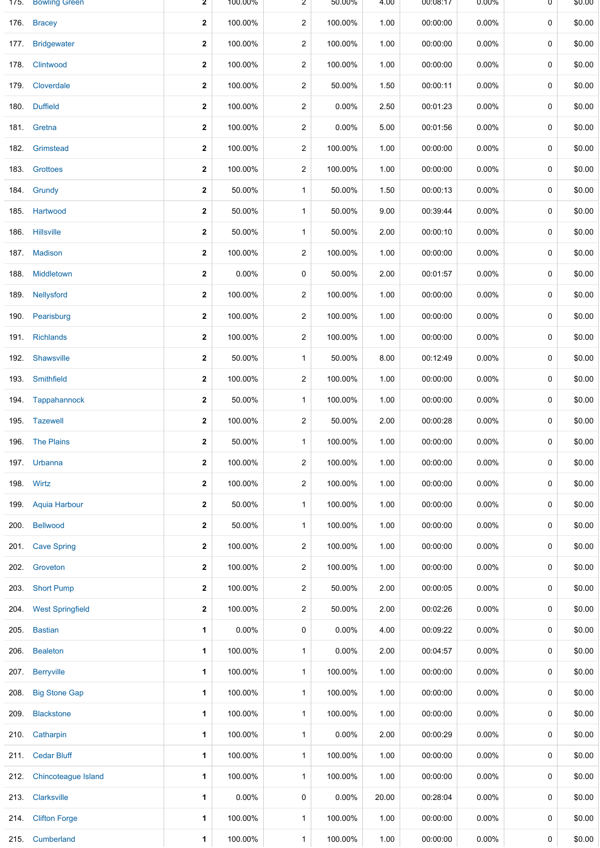| 175. | <b>Bowling Green</b>       | $\mathbf{z}$ | 100.00% | 2            | 50.00%  | 4.00  | 00:08:17 | $0.00\%$ | 0 | \$0.00 |
|------|----------------------------|--------------|---------|--------------|---------|-------|----------|----------|---|--------|
| 176. | <b>Bracey</b>              | $\mathbf 2$  | 100.00% | 2            | 100.00% | 1.00  | 00:00:00 | $0.00\%$ | 0 | \$0.00 |
| 177. | <b>Bridgewater</b>         | $\mathbf 2$  | 100.00% | 2            | 100.00% | 1.00  | 00:00:00 | $0.00\%$ | 0 | \$0.00 |
| 178. | Clintwood                  | $\mathbf{2}$ | 100.00% | 2            | 100.00% | 1.00  | 00:00:00 | $0.00\%$ | 0 | \$0.00 |
| 179. | Cloverdale                 | 2            | 100.00% | 2            | 50.00%  | 1.50  | 00:00:11 | $0.00\%$ | 0 | \$0.00 |
| 180. | <b>Duffield</b>            | $\mathbf 2$  | 100.00% | 2            | 0.00%   | 2.50  | 00:01:23 | 0.00%    | 0 | \$0.00 |
|      | 181. Gretna                | $\mathbf 2$  | 100.00% | 2            | 0.00%   | 5.00  | 00:01:56 | $0.00\%$ | 0 | \$0.00 |
| 182. | Grimstead                  | $\mathbf 2$  | 100.00% | 2            | 100.00% | 1.00  | 00:00:00 | $0.00\%$ | 0 | \$0.00 |
| 183. | Grottoes                   | $\mathbf 2$  | 100.00% | 2            | 100.00% | 1.00  | 00:00:00 | $0.00\%$ | 0 | \$0.00 |
|      | 184. Grundy                | $\mathbf 2$  | 50.00%  | 1            | 50.00%  | 1.50  | 00:00:13 | $0.00\%$ | 0 | \$0.00 |
|      | 185. Hartwood              | $\mathbf 2$  | 50.00%  | 1            | 50.00%  | 9.00  | 00:39:44 | $0.00\%$ | 0 | \$0.00 |
| 186. | <b>Hillsville</b>          | $\mathbf 2$  | 50.00%  | 1            | 50.00%  | 2.00  | 00:00:10 | $0.00\%$ | 0 | \$0.00 |
| 187. | <b>Madison</b>             | $\mathbf 2$  | 100.00% | 2            | 100.00% | 1.00  | 00:00:00 | 0.00%    | 0 | \$0.00 |
| 188. | Middletown                 | 2            | 0.00%   | 0            | 50.00%  | 2.00  | 00:01:57 | $0.00\%$ | 0 | \$0.00 |
| 189. | Nellysford                 | $\mathbf{2}$ | 100.00% | 2            | 100.00% | 1.00  | 00:00:00 | $0.00\%$ | 0 | \$0.00 |
| 190. | Pearisburg                 | 2            | 100.00% | 2            | 100.00% | 1.00  | 00:00:00 | $0.00\%$ | 0 | \$0.00 |
| 191. | <b>Richlands</b>           | $\mathbf 2$  | 100.00% | 2            | 100.00% | 1.00  | 00:00:00 | $0.00\%$ | 0 | \$0.00 |
|      | 192. Shawsville            | 2            | 50.00%  | $\mathbf{1}$ | 50.00%  | 8.00  | 00:12:49 | $0.00\%$ | 0 | \$0.00 |
| 193. | Smithfield                 | $\mathbf 2$  | 100.00% | 2            | 100.00% | 1.00  | 00:00:00 | $0.00\%$ | 0 | \$0.00 |
|      | 194. Tappahannock          | 2            | 50.00%  | $\mathbf{1}$ | 100.00% | 1.00  | 00:00:00 | $0.00\%$ | 0 | \$0.00 |
|      | 195. Tazewell              | $\mathbf 2$  | 100.00% | 2            | 50.00%  | 2.00  | 00:00:28 | 0.00%    | 0 | \$0.00 |
|      | 196. The Plains            | $\mathbf 2$  | 50.00%  | $\mathbf{1}$ | 100.00% | 1.00  | 00:00:00 | $0.00\%$ | 0 | \$0.00 |
|      | 197. Urbanna               | $\mathbf 2$  | 100.00% | 2            | 100.00% | 1.00  | 00:00:00 | 0.00%    | 0 | \$0.00 |
| 198. | Wirtz                      | $\mathbf 2$  | 100.00% | 2            | 100.00% | 1.00  | 00:00:00 | $0.00\%$ | 0 | \$0.00 |
| 199. | <b>Aquia Harbour</b>       | $\mathbf 2$  | 50.00%  | 1            | 100.00% | 1.00  | 00:00:00 | $0.00\%$ | 0 | \$0.00 |
| 200. | <b>Bellwood</b>            | 2            | 50.00%  | 1            | 100.00% | 1.00  | 00:00:00 | $0.00\%$ | 0 | \$0.00 |
|      | 201. Cave Spring           | 2            | 100.00% | 2            | 100.00% | 1.00  | 00:00:00 | $0.00\%$ | 0 | \$0.00 |
| 202. | Groveton                   | 2            | 100.00% | 2            | 100.00% | 1.00  | 00:00:00 | $0.00\%$ | 0 | \$0.00 |
| 203. | <b>Short Pump</b>          | 2            | 100.00% | 2            | 50.00%  | 2.00  | 00:00:05 | $0.00\%$ | 0 | \$0.00 |
| 204. | <b>West Springfield</b>    | $\mathbf 2$  | 100.00% | 2            | 50.00%  | 2.00  | 00:02:26 | $0.00\%$ | 0 | \$0.00 |
| 205. | <b>Bastian</b>             | 1            | 0.00%   | 0            | 0.00%   | 4.00  | 00:09:22 | $0.00\%$ | 0 | \$0.00 |
| 206. | <b>Bealeton</b>            | 1            | 100.00% | 1            | 0.00%   | 2.00  | 00:04:57 | $0.00\%$ | 0 | \$0.00 |
| 207. | <b>Berryville</b>          | 1            | 100.00% | 1            | 100.00% | 1.00  | 00:00:00 | $0.00\%$ | 0 | \$0.00 |
| 208. | <b>Big Stone Gap</b>       | 1            | 100.00% | $\mathbf{1}$ | 100.00% | 1.00  | 00:00:00 | $0.00\%$ | 0 | \$0.00 |
| 209. | <b>Blackstone</b>          | 1            | 100.00% | $\mathbf{1}$ | 100.00% | 1.00  | 00:00:00 | $0.00\%$ | 0 | \$0.00 |
| 210. | Catharpin                  | 1            | 100.00% | $\mathbf{1}$ | 0.00%   | 2.00  | 00:00:29 | $0.00\%$ | 0 | \$0.00 |
| 211. | <b>Cedar Bluff</b>         | 1            | 100.00% | $\mathbf{1}$ | 100.00% | 1.00  | 00:00:00 | 0.00%    | 0 | \$0.00 |
| 212. | <b>Chincoteague Island</b> | 1            | 100.00% | 1            | 100.00% | 1.00  | 00:00:00 | $0.00\%$ | 0 | \$0.00 |
| 213. | Clarksville                | 1            | 0.00%   | 0            | 0.00%   | 20.00 | 00:28:04 | $0.00\%$ | 0 | \$0.00 |
|      | 214. Clifton Forge         | 1            | 100.00% | 1            | 100.00% | 1.00  | 00:00:00 | $0.00\%$ | 0 | \$0.00 |
|      | 215. Cumberland            | 1            | 100.00% | 1            | 100.00% | 1.00  | 00:00:00 | 0.00%    | 0 | \$0.00 |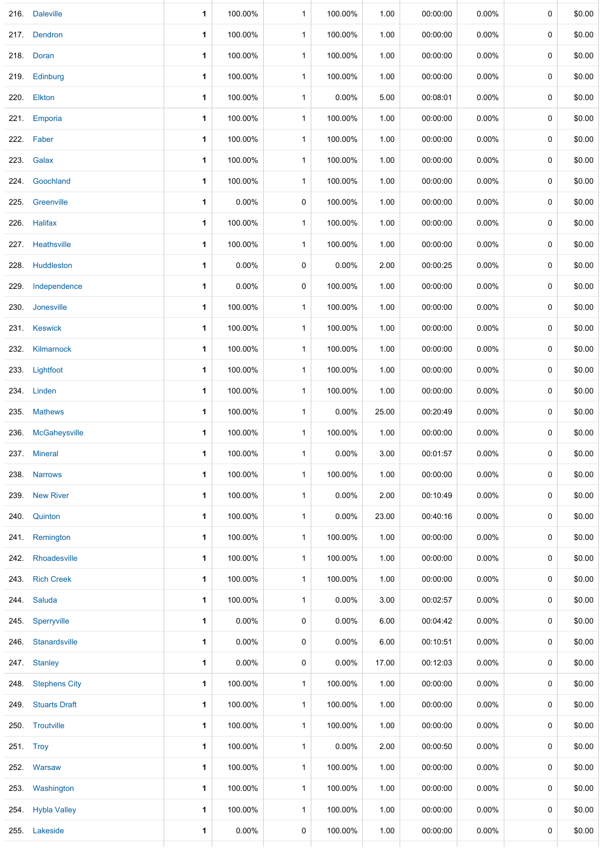|                      | 1                                                                                                                                                                                                                                                                                                                                                                                                                                                                                                   | 100.00%  | $\mathbf{1}$ | 100.00% | 1.00  | 00:00:00 | 0.00%    | 0 | \$0.00 |
|----------------------|-----------------------------------------------------------------------------------------------------------------------------------------------------------------------------------------------------------------------------------------------------------------------------------------------------------------------------------------------------------------------------------------------------------------------------------------------------------------------------------------------------|----------|--------------|---------|-------|----------|----------|---|--------|
|                      | 1                                                                                                                                                                                                                                                                                                                                                                                                                                                                                                   | 100.00%  | $\mathbf{1}$ | 100.00% | 1.00  | 00:00:00 | 0.00%    | 0 | \$0.00 |
| Doran                | 1                                                                                                                                                                                                                                                                                                                                                                                                                                                                                                   | 100.00%  | $\mathbf{1}$ | 100.00% | 1.00  | 00:00:00 | $0.00\%$ | 0 | \$0.00 |
| Edinburg             | 1                                                                                                                                                                                                                                                                                                                                                                                                                                                                                                   | 100.00%  | $\mathbf{1}$ | 100.00% | 1.00  | 00:00:00 | 0.00%    | 0 | \$0.00 |
|                      | 1                                                                                                                                                                                                                                                                                                                                                                                                                                                                                                   | 100.00%  | $\mathbf{1}$ | 0.00%   | 5.00  | 00:08:01 | $0.00\%$ | 0 | \$0.00 |
| Emporia              | 1                                                                                                                                                                                                                                                                                                                                                                                                                                                                                                   | 100.00%  | $\mathbf{1}$ | 100.00% | 1.00  | 00:00:00 | $0.00\%$ | 0 | \$0.00 |
|                      | 1                                                                                                                                                                                                                                                                                                                                                                                                                                                                                                   | 100.00%  | 1            | 100.00% | 1.00  | 00:00:00 | $0.00\%$ | 0 | \$0.00 |
| Galax                | 1                                                                                                                                                                                                                                                                                                                                                                                                                                                                                                   | 100.00%  | $\mathbf{1}$ | 100.00% | 1.00  | 00:00:00 | $0.00\%$ | 0 | \$0.00 |
|                      | 1                                                                                                                                                                                                                                                                                                                                                                                                                                                                                                   | 100.00%  | $\mathbf{1}$ | 100.00% | 1.00  | 00:00:00 | $0.00\%$ | 0 | \$0.00 |
| Greenville           | 1                                                                                                                                                                                                                                                                                                                                                                                                                                                                                                   | 0.00%    | 0            | 100.00% | 1.00  | 00:00:00 | 0.00%    | 0 | \$0.00 |
|                      | 1                                                                                                                                                                                                                                                                                                                                                                                                                                                                                                   | 100.00%  | $\mathbf{1}$ | 100.00% | 1.00  | 00:00:00 | $0.00\%$ | 0 | \$0.00 |
|                      | 1                                                                                                                                                                                                                                                                                                                                                                                                                                                                                                   | 100.00%  | 1            | 100.00% | 1.00  | 00:00:00 | $0.00\%$ | 0 | \$0.00 |
|                      | 1                                                                                                                                                                                                                                                                                                                                                                                                                                                                                                   | 0.00%    | 0            | 0.00%   | 2.00  | 00:00:25 | $0.00\%$ | 0 | \$0.00 |
| Independence         | 1                                                                                                                                                                                                                                                                                                                                                                                                                                                                                                   | 0.00%    | 0            | 100.00% | 1.00  | 00:00:00 | $0.00\%$ | 0 | \$0.00 |
| Jonesville           | 1                                                                                                                                                                                                                                                                                                                                                                                                                                                                                                   | 100.00%  | $\mathbf{1}$ | 100.00% | 1.00  | 00:00:00 | $0.00\%$ | 0 | \$0.00 |
|                      | 1                                                                                                                                                                                                                                                                                                                                                                                                                                                                                                   | 100.00%  | $\mathbf{1}$ | 100.00% | 1.00  | 00:00:00 | $0.00\%$ | 0 | \$0.00 |
| Kilmarnock           | 1                                                                                                                                                                                                                                                                                                                                                                                                                                                                                                   | 100.00%  | $\mathbf{1}$ | 100.00% | 1.00  | 00:00:00 | $0.00\%$ | 0 | \$0.00 |
|                      | 1                                                                                                                                                                                                                                                                                                                                                                                                                                                                                                   | 100.00%  | $\mathbf 1$  | 100.00% | 1.00  | 00:00:00 | $0.00\%$ | 0 | \$0.00 |
|                      | 1                                                                                                                                                                                                                                                                                                                                                                                                                                                                                                   | 100.00%  | $\mathbf{1}$ | 100.00% | 1.00  | 00:00:00 | $0.00\%$ | 0 | \$0.00 |
| <b>Mathews</b>       | 1                                                                                                                                                                                                                                                                                                                                                                                                                                                                                                   | 100.00%  | $\mathbf 1$  | 0.00%   | 25.00 | 00:20:49 | $0.00\%$ | 0 | \$0.00 |
| McGaheysville        | 1                                                                                                                                                                                                                                                                                                                                                                                                                                                                                                   | 100.00%  | $\mathbf{1}$ | 100.00% | 1.00  | 00:00:00 | 0.00%    | 0 | \$0.00 |
| <b>Mineral</b>       | 1                                                                                                                                                                                                                                                                                                                                                                                                                                                                                                   | 100.00%  | $\mathbf{1}$ | 0.00%   | 3.00  | 00:01:57 | 0.00%    | 0 | \$0.00 |
| <b>Narrows</b>       | 1                                                                                                                                                                                                                                                                                                                                                                                                                                                                                                   | 100.00%  | $\mathbf{1}$ | 100.00% | 1.00  | 00:00:00 | $0.00\%$ | 0 | \$0.00 |
|                      | 1                                                                                                                                                                                                                                                                                                                                                                                                                                                                                                   | 100.00%  | $\mathbf{1}$ | 0.00%   | 2.00  | 00:10:49 | $0.00\%$ | 0 | \$0.00 |
|                      | 1                                                                                                                                                                                                                                                                                                                                                                                                                                                                                                   | 100.00%  | $\mathbf{1}$ | 0.00%   | 23.00 | 00:40:16 | $0.00\%$ | 0 | \$0.00 |
|                      | 1                                                                                                                                                                                                                                                                                                                                                                                                                                                                                                   | 100.00%  | $\mathbf{1}$ | 100.00% | 1.00  | 00:00:00 | $0.00\%$ | 0 | \$0.00 |
|                      | 1                                                                                                                                                                                                                                                                                                                                                                                                                                                                                                   | 100.00%  | $\mathbf{1}$ | 100.00% | 1.00  | 00:00:00 | $0.00\%$ | 0 | \$0.00 |
|                      | 1                                                                                                                                                                                                                                                                                                                                                                                                                                                                                                   | 100.00%  | $\mathbf{1}$ | 100.00% | 1.00  | 00:00:00 | $0.00\%$ | 0 | \$0.00 |
|                      | 1                                                                                                                                                                                                                                                                                                                                                                                                                                                                                                   | 100.00%  | $\mathbf{1}$ | 0.00%   | 3.00  | 00:02:57 | $0.00\%$ | 0 | \$0.00 |
|                      | 1                                                                                                                                                                                                                                                                                                                                                                                                                                                                                                   | 0.00%    | 0            | 0.00%   | 6.00  | 00:04:42 | $0.00\%$ | 0 | \$0.00 |
|                      | 1                                                                                                                                                                                                                                                                                                                                                                                                                                                                                                   | $0.00\%$ | 0            | 0.00%   | 6.00  | 00:10:51 | $0.00\%$ | 0 | \$0.00 |
|                      | 1                                                                                                                                                                                                                                                                                                                                                                                                                                                                                                   | 0.00%    | 0            | 0.00%   | 17.00 | 00:12:03 | $0.00\%$ | 0 | \$0.00 |
|                      | 1                                                                                                                                                                                                                                                                                                                                                                                                                                                                                                   | 100.00%  | $\mathbf 1$  | 100.00% | 1.00  | 00:00:00 | $0.00\%$ | 0 | \$0.00 |
| <b>Stuarts Draft</b> | 1                                                                                                                                                                                                                                                                                                                                                                                                                                                                                                   | 100.00%  | $\mathbf{1}$ | 100.00% | 1.00  | 00:00:00 | $0.00\%$ | 0 | \$0.00 |
|                      | 1                                                                                                                                                                                                                                                                                                                                                                                                                                                                                                   | 100.00%  | $\mathbf{1}$ | 100.00% | 1.00  | 00:00:00 | $0.00\%$ | 0 | \$0.00 |
|                      | 1                                                                                                                                                                                                                                                                                                                                                                                                                                                                                                   | 100.00%  | $\mathbf{1}$ | 0.00%   | 2.00  | 00:00:50 | $0.00\%$ | 0 | \$0.00 |
|                      | 1                                                                                                                                                                                                                                                                                                                                                                                                                                                                                                   | 100.00%  | $\mathbf{1}$ | 100.00% | 1.00  | 00:00:00 | 0.00%    | 0 | \$0.00 |
| Washington           | 1                                                                                                                                                                                                                                                                                                                                                                                                                                                                                                   | 100.00%  | $\mathbf{1}$ | 100.00% | 1.00  | 00:00:00 | $0.00\%$ | 0 | \$0.00 |
|                      | 1                                                                                                                                                                                                                                                                                                                                                                                                                                                                                                   | 100.00%  | $\mathbf{1}$ | 100.00% | 1.00  | 00:00:00 | $0.00\%$ | 0 | \$0.00 |
|                      | 1                                                                                                                                                                                                                                                                                                                                                                                                                                                                                                   | 0.00%    | 0            | 100.00% | 1.00  | 00:00:00 | $0.00\%$ | 0 | \$0.00 |
|                      | 216. Daleville<br>217. Dendron<br>218.<br>Elkton<br>220.<br>222. Faber<br>Goochland<br>224.<br>226. Halifax<br>227. Heathsville<br>228. Huddleston<br>231. Keswick<br>233. Lightfoot<br>234. Linden<br>235.<br>237.<br>239. New River<br>240. Quinton<br>241. Remington<br>242. Rhoadesville<br>243. Rich Creek<br>244. Saluda<br>245. Sperryville<br>246. Stanardsville<br>247. Stanley<br>248. Stephens City<br>250. Troutville<br>251. Troy<br>252. Warsaw<br>254. Hybla Valley<br>255. Lakeside |          |              |         |       |          |          |   |        |